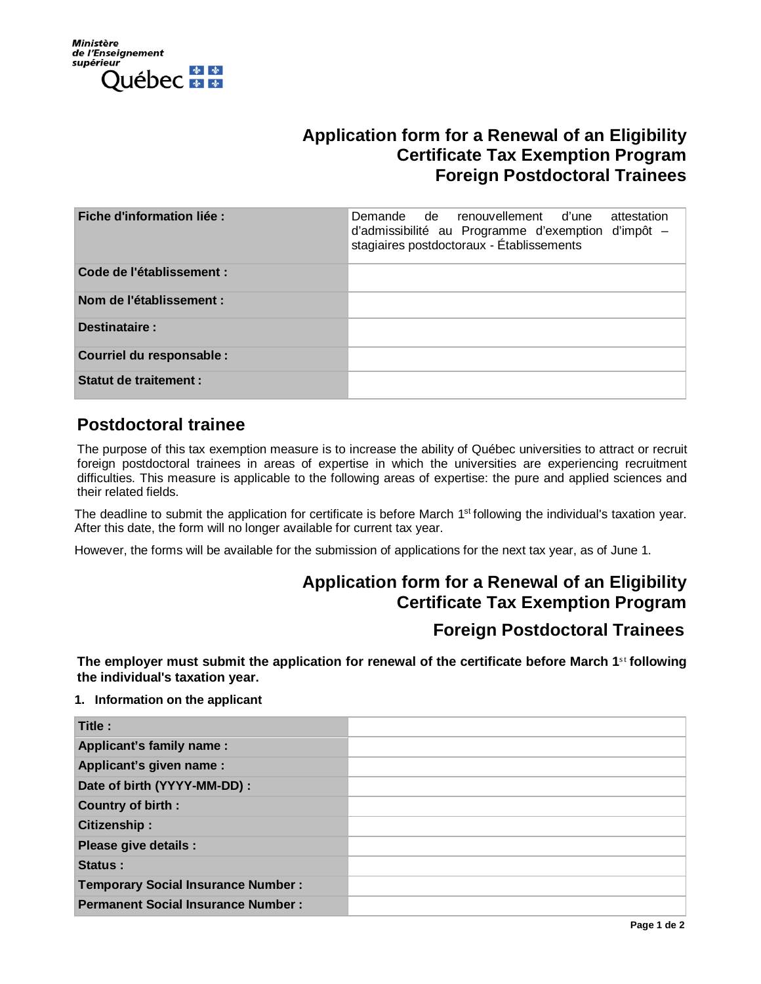

# **Application form for a Renewal of an Eligibility Certificate Tax Exemption Program Foreign Postdoctoral Trainees**

| <b>Fiche d'information liée:</b> | Demande de renouvellement d'une attestation<br>d'admissibilité au Programme d'exemption d'impôt -<br>stagiaires postdoctoraux - Établissements |
|----------------------------------|------------------------------------------------------------------------------------------------------------------------------------------------|
| Code de l'établissement :        |                                                                                                                                                |
| Nom de l'établissement :         |                                                                                                                                                |
| Destinataire:                    |                                                                                                                                                |
| Courriel du responsable :        |                                                                                                                                                |
| <b>Statut de traitement:</b>     |                                                                                                                                                |

## **Postdoctoral trainee**

The purpose of this tax exemption measure is to increase the ability of Québec universities to attract or recruit foreign postdoctoral trainees in areas of expertise in which the universities are experiencing recruitment difficulties. This measure is applicable to the following areas of expertise: the pure and applied sciences and their related fields.

The deadline to submit the application for certificate is before March 1<sup>st</sup> following the individual's taxation year. After this date, the form will no longer available for current tax year.

However, the forms will be available for the submission of applications for the next tax year, as of June 1.

# **Application form for a Renewal of an Eligibility Certificate Tax Exemption Program**

# **Foreign Postdoctoral Trainees**

**The employer must submit the application for renewal of the certificate before March 1<sup>st</sup> following the individual's taxation year.**

## **1. Information on the applicant**

| Title:                                    |  |
|-------------------------------------------|--|
| Applicant's family name:                  |  |
| Applicant's given name :                  |  |
| Date of birth (YYYY-MM-DD) :              |  |
| Country of birth:                         |  |
| Citizenship:                              |  |
| Please give details :                     |  |
| Status:                                   |  |
| <b>Temporary Social Insurance Number:</b> |  |
| <b>Permanent Social Insurance Number:</b> |  |